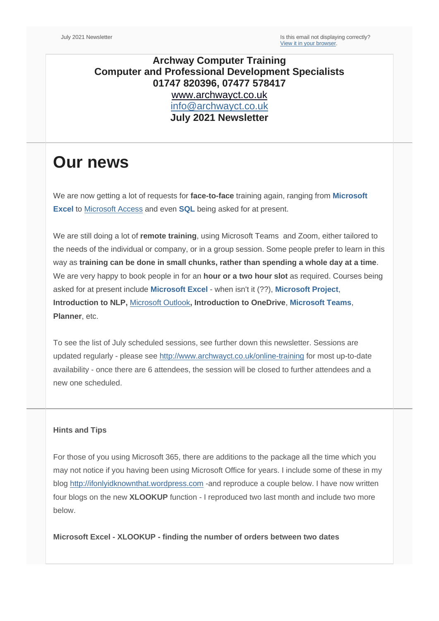## **Archway Computer Training Computer and Professional Development Specialists 01747 820396, 07477 578417** [www.archwayct.co.uk](http://www.archwayct.co.uk/) [info@archwayct.co.uk](mailto:%20info@archwayct.co.uk) **July 2021 Newsletter**

## **Our news**

We are now getting a lot of requests for **face-to-face** training again, ranging from **[Microsoft](http://www.archwayct.co.uk/microsoft-office-training/microsoft-excel-training)  [Excel](http://www.archwayct.co.uk/microsoft-office-training/microsoft-excel-training)** to [Microsoft Access](https://www.archwayct.co.uk/microsoft-office-training/microsoft-access-training/) and even **[SQL](http://www.archwayct.co.uk/it-training/sql-training)** being asked for at present.

We are still doing a lot of **remote training**, using Microsoft Teams and Zoom, either tailored to the needs of the individual or company, or in a group session. Some people prefer to learn in this way as **training can be done in small chunks, rather than spending a whole day at a time**. We are very happy to book people in for an **hour or a two hour slot** as required. Courses being asked for at present include **[Microsoft Excel](http://www.archwayct.co.uk/microsoft-office-training/microsoft-excel-training)** - when isn't it (??), **[Microsoft Project](http://www.archwayct.co.uk/it-training/microsoft-project-training)**, **Introduction to NLP,** [Microsoft Outlook](http://www.archwayct.co.uk/microsoft-office-training/microsoft-outlook-training)**, Introduction to OneDrive**, **[Microsoft Teams](https://www.archwayct.co.uk/microsoft-office-training/microsoft-teams-training/)**, **Planner**, etc.

To see the list of July scheduled sessions, see further down this newsletter. Sessions are updated regularly - please see<http://www.archwayct.co.uk/online-training> for most up-to-date availability - once there are 6 attendees, the session will be closed to further attendees and a new one scheduled.

## **Hints and Tips**

For those of you using Microsoft 365, there are additions to the package all the time which you may not notice if you having been using Microsoft Office for years. I include some of these in my blog [http://ifonlyidknownthat.wordpress.com](http://ifonlyidknownthat.wordpress.com/) -and reproduce a couple below. I have now written four blogs on the new **XLOOKUP** function - I reproduced two last month and include two more below.

**Microsoft Excel - XLOOKUP - finding the number of orders between two dates**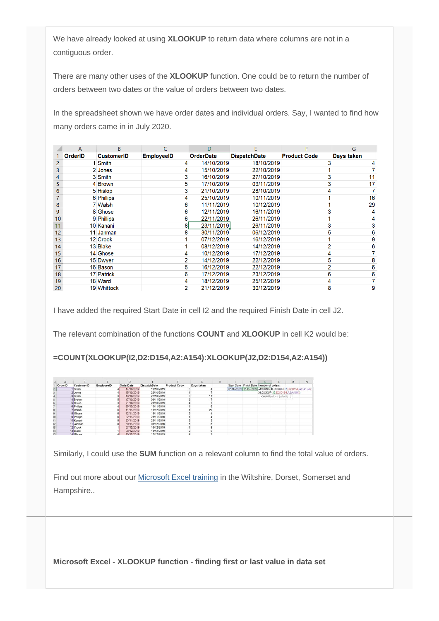We have already looked at using **XLOOKUP** to return data where columns are not in a contiguous order.

There are many other uses of the **XLOOKUP** function. One could be to return the number of orders between two dates or the value of orders between two dates.

In the spreadsheet shown we have order dates and individual orders. Say, I wanted to find how many orders came in in July 2020.

|                | A              | B                 |                   | D                | F                   |                     | G          |
|----------------|----------------|-------------------|-------------------|------------------|---------------------|---------------------|------------|
|                | <b>OrderID</b> | <b>CustomerID</b> | <b>EmployeeID</b> | <b>OrderDate</b> | <b>DispatchDate</b> | <b>Product Code</b> | Days taken |
| $\overline{2}$ |                | 1 Smith           |                   | 14/10/2019       | 18/10/2019          |                     |            |
| 3              |                | 2 Jones           |                   | 15/10/2019       | 22/10/2019          |                     |            |
| 4              |                | 3 Smith           |                   | 16/10/2019       | 27/10/2019          |                     | 11         |
| 5              |                | 4 Brown           | 5                 | 17/10/2019       | 03/11/2019          |                     | 17         |
| 6              |                | 5 Hislop          |                   | 21/10/2019       | 28/10/2019          |                     |            |
|                |                | 6 Phillips        |                   | 25/10/2019       | 10/11/2019          |                     | 16         |
| 8              |                | 7 Walsh           | 6                 | 11/11/2019       | 10/12/2019          |                     | 29         |
| 9              |                | 8 Ghose           | 6                 | 12/11/2019       | 16/11/2019          |                     |            |
| 10             |                | 9 Phillips        | 6                 | 22/11/2019       | 26/11/2019          |                     |            |
| 11             |                | 10 Kanani         |                   | 23/11/2019       | 26/11/2019          |                     |            |
| 12             |                | 11 Janman         |                   | 30/11/2019       | 06/12/2019          |                     | 6          |
| 13             |                | 12 Crook          |                   | 07/12/2019       | 16/12/2019          |                     |            |
| 14             |                | 13 Blake          |                   | 08/12/2019       | 14/12/2019          |                     |            |
| 15             |                | 14 Ghose          |                   | 10/12/2019       | 17/12/2019          |                     |            |
| 16             |                | 15 Dwyer          |                   | 14/12/2019       | 22/12/2019          |                     |            |
| 17             |                | 16 Bason          | 5                 | 16/12/2019       | 22/12/2019          |                     | 6          |
| 18             |                | 17 Patrick        | 6                 | 17/12/2019       | 23/12/2019          |                     | 6          |
| 19             |                | 18 Ward           |                   | 18/12/2019       | 25/12/2019          |                     |            |
| 20             |                | 19 Whittock       |                   | 21/12/2019       | 30/12/2019          |                     | 9          |

I have added the required Start Date in cell I2 and the required Finish Date in cell J2.

The relevant combination of the functions **COUNT** and **XLOOKUP** in cell K2 would be:

**=COUNT(XLOOKUP(I2,D2:D154,A2:A154):XLOOKUP(J2,D2:D154,A2:A154))**

|         |                   |            | D.         |                     |                     | G          |    | H |                                                            |                              | M | $\mathsf{N}$ |
|---------|-------------------|------------|------------|---------------------|---------------------|------------|----|---|------------------------------------------------------------|------------------------------|---|--------------|
| OrderID | <b>CustomerID</b> | EmployeeID | OrderDate  | <b>DispatchDate</b> | <b>Product Code</b> | Days taken |    |   | Start Date Finish Date Number of orders                    |                              |   |              |
|         | Smith             |            | 14/10/2019 | 18/10/2019          |                     |            |    |   | 01/07/2020 31/07/2020 = COUNT(XLOOKUP(12,D2:D154,A2:A154); |                              |   |              |
|         | 2 Jones           |            | 15/10/2019 | 22/10/2019          |                     |            |    |   |                                                            | XLOOKUP(J2,D2:D154,A2:A154)) |   |              |
|         | 3 Smith           |            | 16/10/2019 | 27/10/2019          |                     |            |    |   |                                                            | COUNT(value1, [value2],  )   |   |              |
|         | 4 Brown           |            | 17/10/2019 | 03/11/2019          |                     |            |    |   |                                                            |                              |   |              |
|         | 5 Hislop          |            | 21/10/2019 | 28/10/2019          |                     |            |    |   |                                                            |                              |   |              |
|         | 6 Phillips        |            | 25/10/2019 | 10/11/2019          |                     |            |    |   |                                                            |                              |   |              |
|         | 7 Walsh           |            | 11/11/2019 | 10/12/2019          |                     |            | 29 |   |                                                            |                              |   |              |
|         | 8 Ghose           |            | 12/11/2019 | 16/11/2019          |                     |            |    |   |                                                            |                              |   |              |
| 10      | 9 Phillips        |            | 22/11/2019 | 26/11/2019          |                     |            |    |   |                                                            |                              |   |              |
|         | 10 Kanani         |            | 23/11/2019 | 26/11/2019          |                     |            |    |   |                                                            |                              |   |              |
|         | 11 Janman         |            | 30/11/2019 | 06/12/2019          |                     |            |    |   |                                                            |                              |   |              |
| 13      | 12 Crook          |            | 07/12/2019 | 16/12/2019          |                     |            |    |   |                                                            |                              |   |              |
| 14      | 13 Blake          |            | 08/12/2019 | 14/12/2019          |                     |            |    |   |                                                            |                              |   |              |
| 55      | 14 Ghose          |            | 10/12/2019 | 17/12/2019          |                     |            |    |   |                                                            |                              |   |              |

Similarly, I could use the **SUM** function on a relevant column to find the total value of orders.

Find out more about our [Microsoft Excel training](http://www.archwayct.co.uk/microsoft-office-training/microsoft-excel-training) in the Wiltshire, Dorset, Somerset and Hampshire..

**Microsoft Excel - XLOOKUP function - finding first or last value in data set**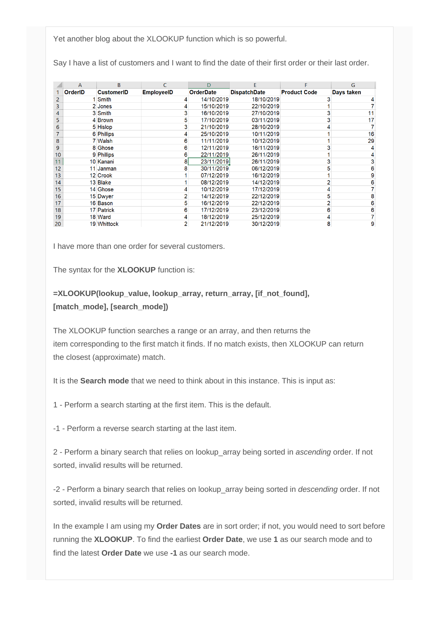Yet another blog about the XLOOKUP function which is so powerful.

Say I have a list of customers and I want to find the date of their first order or their last order.

|    | A              | B                 | C                 | D                | F                   |                     | G          |
|----|----------------|-------------------|-------------------|------------------|---------------------|---------------------|------------|
|    | <b>OrderID</b> | <b>CustomerID</b> | <b>EmployeeID</b> | <b>OrderDate</b> | <b>DispatchDate</b> | <b>Product Code</b> | Days taken |
| 2  |                | 1 Smith           |                   | 14/10/2019       | 18/10/2019          |                     |            |
| 3  |                | 2 Jones           |                   | 15/10/2019       | 22/10/2019          |                     |            |
| 4  |                | 3 Smith           | 3                 | 16/10/2019       | 27/10/2019          |                     | 11         |
| 5  |                | 4 Brown           | 5                 | 17/10/2019       | 03/11/2019          |                     | 17         |
| 6  |                | 5 Hislop          | 3                 | 21/10/2019       | 28/10/2019          |                     |            |
|    |                | 6 Phillips        |                   | 25/10/2019       | 10/11/2019          |                     | 16         |
| 8  |                | 7 Walsh           | 6                 | 11/11/2019       | 10/12/2019          |                     | 29         |
| 9  |                | 8 Ghose           | 6                 | 12/11/2019       | 16/11/2019          |                     |            |
| 10 |                | 9 Phillips        | 6                 | 22/11/2019       | 26/11/2019          |                     |            |
| 11 |                | 10 Kanani         | 8                 | 23/11/2019       | 26/11/2019          |                     |            |
| 12 |                | 11 Janman         |                   | 30/11/2019       | 06/12/2019          |                     | 6          |
| 13 |                | 12 Crook          |                   | 07/12/2019       | 16/12/2019          |                     | 9          |
| 14 |                | 13 Blake          |                   | 08/12/2019       | 14/12/2019          |                     | 6          |
| 15 |                | 14 Ghose          |                   | 10/12/2019       | 17/12/2019          |                     |            |
| 16 |                | 15 Dwyer          |                   | 14/12/2019       | 22/12/2019          | 5                   | 8          |
| 17 |                | 16 Bason          | 5                 | 16/12/2019       | 22/12/2019          |                     | 6          |
| 18 |                | 17 Patrick        | 6                 | 17/12/2019       | 23/12/2019          | 6                   | 6          |
| 19 |                | 18 Ward           |                   | 18/12/2019       | 25/12/2019          |                     |            |
| 20 |                | 19 Whittock       |                   | 21/12/2019       | 30/12/2019          | 8                   | 9          |

I have more than one order for several customers.

The syntax for the **XLOOKUP** function is:

**=XLOOKUP(lookup\_value, lookup\_array, return\_array, [if\_not\_found], [match\_mode], [search\_mode])**

The XLOOKUP function searches a range or an array, and then returns the item corresponding to the first match it finds. If no match exists, then XLOOKUP can return the closest (approximate) match.

It is the **Search mode** that we need to think about in this instance. This is input as:

1 - Perform a search starting at the first item. This is the default.

-1 - Perform a reverse search starting at the last item.

2 - Perform a binary search that relies on lookup\_array being sorted in *ascending* order. If not sorted, invalid results will be returned.

-2 - Perform a binary search that relies on lookup\_array being sorted in *descending* order. If not sorted, invalid results will be returned.

In the example I am using my **Order Dates** are in sort order; if not, you would need to sort before running the **XLOOKUP**. To find the earliest **Order Date**, we use **1** as our search mode and to find the latest **Order Date** we use **-1** as our search mode.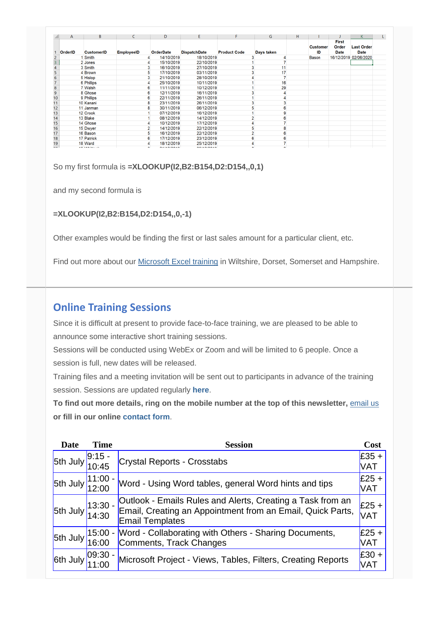| $\mathsf{A}$   | B                                                                                                          | C.                | D                | E.                  | F                   | G          | н  |                       |                                      | K                                |  |
|----------------|------------------------------------------------------------------------------------------------------------|-------------------|------------------|---------------------|---------------------|------------|----|-----------------------|--------------------------------------|----------------------------------|--|
| <b>OrderID</b> | <b>CustomerID</b>                                                                                          | <b>EmployeeID</b> | <b>OrderDate</b> | <b>DispatchDate</b> | <b>Product Code</b> | Days taken |    | <b>Customer</b><br>ID | <b>First</b><br>Order<br><b>Date</b> | <b>Last Order</b><br><b>Date</b> |  |
|                | <b>Smith</b>                                                                                               |                   | 14/10/2019       | 18/10/2019          |                     |            |    | <b>Bason</b>          |                                      | 16/12/2019 02/06/2020            |  |
|                | 2 Jones                                                                                                    |                   | 15/10/2019       | 22/10/2019          |                     |            |    |                       |                                      |                                  |  |
|                | 3 Smith                                                                                                    |                   | 16/10/2019       | 27/10/2019          |                     |            |    |                       |                                      |                                  |  |
|                | 4 Brown                                                                                                    |                   | 17/10/2019<br>5  | 03/11/2019          |                     |            | 17 |                       |                                      |                                  |  |
|                | 5 Hislop                                                                                                   |                   | 3<br>21/10/2019  | 28/10/2019          |                     |            |    |                       |                                      |                                  |  |
|                | 6 Phillips                                                                                                 |                   | 25/10/2019       | 10/11/2019          |                     |            | 16 |                       |                                      |                                  |  |
|                | 7 Walsh                                                                                                    |                   | 11/11/2019<br>6  | 10/12/2019          |                     |            | 29 |                       |                                      |                                  |  |
|                | 8 Ghose                                                                                                    |                   | 12/11/2019<br>6  | 16/11/2019          |                     |            |    |                       |                                      |                                  |  |
|                | 9 Phillips                                                                                                 |                   | 22/11/2019<br>6  | 26/11/2019          |                     |            |    |                       |                                      |                                  |  |
|                | 10 Kanani                                                                                                  |                   | 23/11/2019<br>8  | 26/11/2019          |                     |            |    |                       |                                      |                                  |  |
|                | 11 Janman                                                                                                  |                   | 30/11/2019<br>8  | 06/12/2019          |                     |            |    |                       |                                      |                                  |  |
| 13             | 12 Crook                                                                                                   |                   | 07/12/2019       | 16/12/2019          |                     |            |    |                       |                                      |                                  |  |
| 14             | 13 Blake                                                                                                   |                   | 08/12/2019       | 14/12/2019          |                     |            |    |                       |                                      |                                  |  |
|                | 14 Ghose                                                                                                   |                   | 10/12/2019       | 17/12/2019          |                     |            |    |                       |                                      |                                  |  |
|                | 15 Dwyer                                                                                                   |                   | 14/12/2019       | 22/12/2019          |                     |            |    |                       |                                      |                                  |  |
|                | 16 Bason                                                                                                   |                   | 16/12/2019<br>5  | 22/12/2019          |                     |            |    |                       |                                      |                                  |  |
|                | 17 Patrick                                                                                                 |                   | 17/12/2019<br>6  | 23/12/2019          |                     |            |    |                       |                                      |                                  |  |
|                | 18 Ward                                                                                                    |                   | 18/12/2019       | 25/12/2019          |                     |            |    |                       |                                      |                                  |  |
|                | $\overline{AB}$ $\overline{BA}$ $\overline{B}$ $\overline{B}$ $\overline{B}$ $\overline{B}$ $\overline{B}$ |                   | 0.11000010       | $\frac{1}{2}$       |                     |            |    |                       |                                      |                                  |  |

So my first formula is **=XLOOKUP(I2,B2:B154,D2:D154,,0,1)**

and my second formula is

**=XLOOKUP(I2,B2:B154,D2:D154,,0,-1)**

Other examples would be finding the first or last sales amount for a particular client, etc.

Find out more about our [Microsoft Excel training](http://www.archwayct.co.uk/microsoft-office-training/microsoft-excel-training) in Wiltshire, Dorset, Somerset and Hampshire.

## **Online Training Sessions**

Since it is difficult at present to provide face-to-face training, we are pleased to be able to announce some interactive short training sessions.

Sessions will be conducted using WebEx or Zoom and will be limited to 6 people. Once a session is full, new dates will be released.

Training files and a meeting invitation will be sent out to participants in advance of the training session. Sessions are updated regularly **[here](http://www.archwayct.co.uk/online-training)**.

**To find out more details, ring on the mobile number at the top of this newsletter,** [email us](mailto:janet@archwayct.co.uk?subject=Online%20training) **or fill in our online [contact form](http://www.archwayct.co.uk/contact)**.

| <b>Date</b>              | <b>Time</b>         | <b>Session</b>                                                                                                                                     | Cost                  |
|--------------------------|---------------------|----------------------------------------------------------------------------------------------------------------------------------------------------|-----------------------|
| $ 5th$ July              | $9:15 -$<br>10:45   | <b>Crystal Reports - Crosstabs</b>                                                                                                                 | $E35 +$<br>VAT        |
| 5th July                 | $11:00 - 12:00$     | Word - Using Word tables, general Word hints and tips                                                                                              | $E25 +$<br>VAT        |
| 5th July $13:30 - 14:30$ |                     | Outlook - Emails Rules and Alerts, Creating a Task from an<br>Email, Creating an Appointment from an Email, Quick Parts,<br><b>Email Templates</b> | $E25 +$<br><b>VAT</b> |
| <b>5th July</b>          | $15:00 -$<br>16:00  | Word - Collaborating with Others - Sharing Documents,<br>Comments, Track Changes                                                                   | $E25 +$<br>VAT        |
| 6th July                 | $ 09:30 -$<br>11:00 | Microsoft Project - Views, Tables, Filters, Creating Reports                                                                                       | $E30 +$<br>VAT        |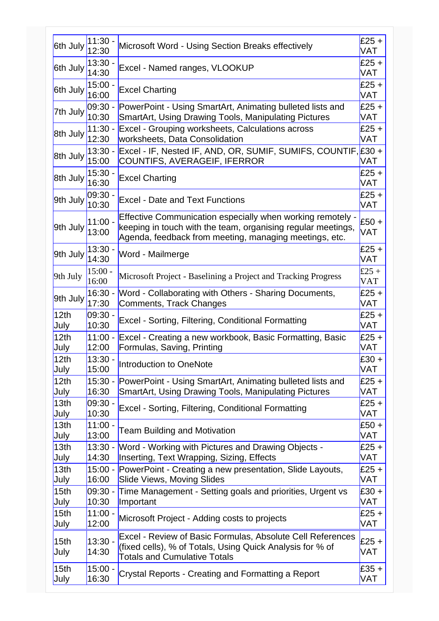| 6th July                 | 11:30 -<br>12:30   | Microsoft Word - Using Section Breaks effectively                                                                                                                                    | $£25 +$<br>VAT        |
|--------------------------|--------------------|--------------------------------------------------------------------------------------------------------------------------------------------------------------------------------------|-----------------------|
| 6th July                 | $13:30 -$<br>14:30 | Excel - Named ranges, VLOOKUP                                                                                                                                                        | $£25 +$<br>VAT        |
| 6th July                 | $15:00 -$<br>16:00 | <b>Excel Charting</b>                                                                                                                                                                | $£25 +$<br>VAT        |
| 7th July                 | 09:30 -            | PowerPoint - Using SmartArt, Animating bulleted lists and                                                                                                                            | $£25 +$               |
|                          | 10:30              | <b>SmartArt, Using Drawing Tools, Manipulating Pictures</b>                                                                                                                          | VAT                   |
| 8th July                 | $11:30 -$          | Excel - Grouping worksheets, Calculations across                                                                                                                                     | $£25 +$               |
|                          | 12:30              | worksheets, Data Consolidation                                                                                                                                                       | VAT                   |
| 8th July                 | $13:30 -$<br>15:00 | Excel - IF, Nested IF, AND, OR, SUMIF, SUMIFS, COUNTIF, £30 +<br>COUNTIFS, AVERAGEIF, IFERROR                                                                                        | VAT                   |
| 8th July                 | $15:30 -$<br>16:30 | <b>Excel Charting</b>                                                                                                                                                                | $£25 +$<br>VAT        |
| 9th July                 | 09:30 -<br>10:30   | <b>Excel - Date and Text Functions</b>                                                                                                                                               | $£25 +$<br>VAT        |
| 9th July                 | $11:00 -$<br>13:00 | Effective Communication especially when working remotely -<br>keeping in touch with the team, organising regular meetings,<br>Agenda, feedback from meeting, managing meetings, etc. | $£50 +$<br>VAT        |
| 9th July                 | $13:30 -$<br>14:30 | Word - Mailmerge                                                                                                                                                                     | $£25 +$<br><b>VAT</b> |
| 9th July                 | $15:00 -$<br>16:00 | Microsoft Project - Baselining a Project and Tracking Progress                                                                                                                       | £25 +<br><b>VAT</b>   |
| 9th July                 | $16:30 -$          | Word - Collaborating with Others - Sharing Documents,                                                                                                                                | $£25 +$               |
|                          | 17:30              | Comments, Track Changes                                                                                                                                                              | VAT                   |
| 12 <sub>th</sub>         | $09:30 -$          | Excel - Sorting, Filtering, Conditional Formatting                                                                                                                                   | $£25 +$               |
| July                     | 10:30              |                                                                                                                                                                                      | VAT                   |
| 12th                     | $11:00 -$          | Excel - Creating a new workbook, Basic Formatting, Basic                                                                                                                             | $£25 +$               |
| July                     | 12:00              | Formulas, Saving, Printing                                                                                                                                                           | VAT                   |
| 12th                     | $13:30 -$          | <b>Introduction to OneNote</b>                                                                                                                                                       | $£30 +$               |
| July                     | 15:00              |                                                                                                                                                                                      | VAT                   |
| 12 <sub>th</sub>         | $15:30 -$          | PowerPoint - Using SmartArt, Animating bulleted lists and                                                                                                                            | $£25 +$               |
| July                     | 16:30              | <b>SmartArt, Using Drawing Tools, Manipulating Pictures</b>                                                                                                                          | VAT                   |
| 13th                     | $09:30 -$          | Excel - Sorting, Filtering, Conditional Formatting                                                                                                                                   | $£25 +$               |
| July                     | 10:30              |                                                                                                                                                                                      | VAT                   |
| 13 <sub>th</sub>         | $11:00 -$          | <b>Team Building and Motivation</b>                                                                                                                                                  | $£50 +$               |
| July                     | 13:00              |                                                                                                                                                                                      | VAT                   |
| 13 <sub>th</sub>         | $13:30 -$          | Word - Working with Pictures and Drawing Objects -                                                                                                                                   | $£25 +$               |
| July                     | 14:30              | Inserting, Text Wrapping, Sizing, Effects                                                                                                                                            | VAT                   |
| 13 <sub>th</sub>         | $15:00 -$          | PowerPoint - Creating a new presentation, Slide Layouts,                                                                                                                             | $£25 +$               |
| July                     | 16:00              | <b>Slide Views, Moving Slides</b>                                                                                                                                                    | VAT                   |
| 15 <sub>th</sub>         | $09:30 -$          | Time Management - Setting goals and priorities, Urgent vs                                                                                                                            | $£30 +$               |
| July                     | 10:30              | Important                                                                                                                                                                            | <b>VAT</b>            |
| 15 <sub>th</sub>         | $11:00 -$          | Microsoft Project - Adding costs to projects                                                                                                                                         | $£25 +$               |
| July                     | 12:00              |                                                                                                                                                                                      | VAT                   |
| 15 <sub>th</sub><br>July | $13:30 -$<br>14:30 | Excel - Review of Basic Formulas, Absolute Cell References<br>(fixed cells), % of Totals, Using Quick Analysis for % of<br><b>Totals and Cumulative Totals</b>                       | $£25 +$<br>VAT        |
| 15 <sub>th</sub>         | $15:00 -$          | Crystal Reports - Creating and Formatting a Report                                                                                                                                   | $£35 +$               |
| July                     | 16:30              |                                                                                                                                                                                      | VAT                   |
|                          |                    |                                                                                                                                                                                      |                       |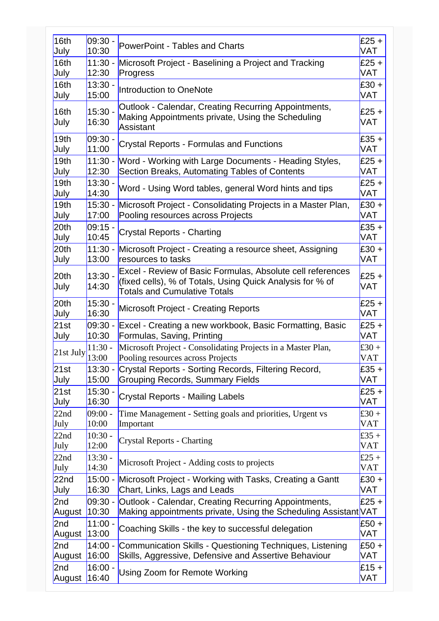| 16th                     | $09:30 -$          | <b>PowerPoint - Tables and Charts</b>                                                                                                                          | $£25 +$      |
|--------------------------|--------------------|----------------------------------------------------------------------------------------------------------------------------------------------------------------|--------------|
| July                     | 10:30              |                                                                                                                                                                | VAT          |
| 16th                     | $11:30 -$          | Microsoft Project - Baselining a Project and Tracking                                                                                                          | $£25 +$      |
| July                     | 12:30              | Progress                                                                                                                                                       | VAT          |
| 16th                     | $13:30 -$          | <b>Introduction to OneNote</b>                                                                                                                                 | $£30 +$      |
| July                     | 15:00              |                                                                                                                                                                | VAT          |
| 16th                     | $15:30 -$          | Outlook - Calendar, Creating Recurring Appointments,<br>Making Appointments private, Using the Scheduling                                                      | $£25 +$      |
| July                     | 16:30              | <b>Assistant</b>                                                                                                                                               | VAT          |
| 19 <sub>th</sub>         | $09:30 -$          | <b>Crystal Reports - Formulas and Functions</b>                                                                                                                | $£35 +$      |
| July                     | 11:00              |                                                                                                                                                                | VAT          |
| 19 <sub>th</sub>         | $11:30 -$          | Word - Working with Large Documents - Heading Styles,                                                                                                          | £25 $+$      |
| July                     | 12:30              | Section Breaks, Automating Tables of Contents                                                                                                                  | VAT          |
| 19 <sub>th</sub>         | $13:30 -$          | Word - Using Word tables, general Word hints and tips                                                                                                          | £25 +        |
| July                     | 14:30              |                                                                                                                                                                | VAT          |
| 19 <sub>th</sub>         | $15:30 -$          | Microsoft Project - Consolidating Projects in a Master Plan,                                                                                                   | $£30 +$      |
| July                     | 17:00              | Pooling resources across Projects                                                                                                                              | VAT          |
| 20 <sub>th</sub>         | $09:15 -$          | <b>Crystal Reports - Charting</b>                                                                                                                              | £35 $+$      |
| July                     | 10:45              |                                                                                                                                                                | VAT          |
| 20 <sub>th</sub>         | $11:30 -$          | Microsoft Project - Creating a resource sheet, Assigning                                                                                                       | $£30 +$      |
| July                     | 13:00              | resources to tasks                                                                                                                                             | VAT          |
| 20 <sub>th</sub><br>July | $13:30 -$<br>14:30 | Excel - Review of Basic Formulas, Absolute cell references<br>(fixed cells), % of Totals, Using Quick Analysis for % of<br><b>Totals and Cumulative Totals</b> | £25 +<br>VAT |
| 20th                     | $15:30 -$          | <b>Microsoft Project - Creating Reports</b>                                                                                                                    | $£25 +$      |
| July                     | 16:30              |                                                                                                                                                                | VAT          |
| 21st                     | $09:30 -$          | Excel - Creating a new workbook, Basic Formatting, Basic                                                                                                       | £25 $+$      |
| July                     | 10:30              | Formulas, Saving, Printing                                                                                                                                     | VAT          |
| 21st July                | $11:30 -$          | Microsoft Project - Consolidating Projects in a Master Plan,                                                                                                   | £30 +        |
|                          | 13:00              | Pooling resources across Projects                                                                                                                              | <b>VAT</b>   |
| 21st                     | $13:30 -$          | Crystal Reports - Sorting Records, Filtering Record,                                                                                                           | $£35 +$      |
| July                     | 15:00              | <b>Grouping Records, Summary Fields</b>                                                                                                                        | VAT          |
| 21st                     | $15:30 -$          | <b>Crystal Reports - Mailing Labels</b>                                                                                                                        | £25 $+$      |
| July                     | 16:30              |                                                                                                                                                                | VAT          |
| 22nd                     | $09:00 -$          | Time Management - Setting goals and priorities, Urgent vs                                                                                                      | £30 +        |
| July                     | 10:00              | Important                                                                                                                                                      | <b>VAT</b>   |
| 22nd                     | $10:30 -$          | <b>Crystal Reports - Charting</b>                                                                                                                              | £35 +        |
| July                     | 12:00              |                                                                                                                                                                | <b>VAT</b>   |
| 22nd                     | $13:30 -$          | Microsoft Project - Adding costs to projects                                                                                                                   | £25 +        |
| July                     | 14:30              |                                                                                                                                                                | <b>VAT</b>   |
| 22 <sub>nd</sub>         | 15:00 -            | Microsoft Project - Working with Tasks, Creating a Gantt                                                                                                       | £30 +        |
| July                     | 16:30              | Chart, Links, Lags and Leads                                                                                                                                   | VAT          |
| 2nd                      | $09:30 -$          | Outlook - Calendar, Creating Recurring Appointments,                                                                                                           | £25 +        |
| August                   | 10:30              | Making appointments private, Using the Scheduling Assistant VAT                                                                                                |              |
| 2nd                      | $11:00 -$          | Coaching Skills - the key to successful delegation                                                                                                             | £50 +        |
| August                   | 13:00              |                                                                                                                                                                | VAT          |
| 2nd                      | $14:00 -$          | Communication Skills - Questioning Techniques, Listening                                                                                                       | $£50+$       |
| August                   | 16:00              | Skills, Aggressive, Defensive and Assertive Behaviour                                                                                                          | VAT          |
| 2nd                      | $16:00 -$          | Using Zoom for Remote Working                                                                                                                                  | £15 $+$      |
| August                   | 16:40              |                                                                                                                                                                | VAT          |